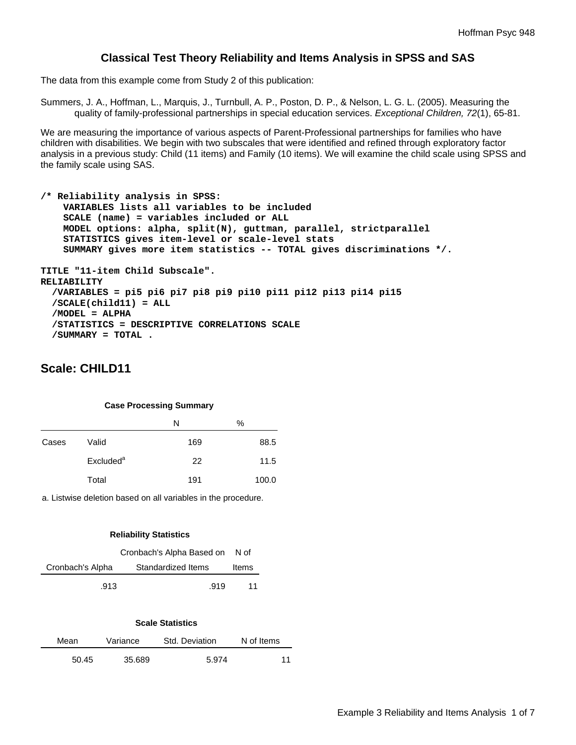## **Classical Test Theory Reliability and Items Analysis in SPSS and SAS**

The data from this example come from Study 2 of this publication:

Summers, J. A., Hoffman, L., Marquis, J., Turnbull, A. P., Poston, D. P., & Nelson, L. G. L. (2005). Measuring the quality of family-professional partnerships in special education services. *Exceptional Children, 72*(1), 65-81.

We are measuring the importance of various aspects of Parent-Professional partnerships for families who have children with disabilities. We begin with two subscales that were identified and refined through exploratory factor analysis in a previous study: Child (11 items) and Family (10 items). We will examine the child scale using SPSS and the family scale using SAS.

```
/* Reliability analysis in SPSS: 
     VARIABLES lists all variables to be included 
     SCALE (name) = variables included or ALL 
     MODEL options: alpha, split(N), guttman, parallel, strictparallel 
     STATISTICS gives item-level or scale-level stats 
     SUMMARY gives more item statistics -- TOTAL gives discriminations */. 
TITLE "11-item Child Subscale". 
RELIABILITY 
   /VARIABLES = pi5 pi6 pi7 pi8 pi9 pi10 pi11 pi12 pi13 pi14 pi15 
   /SCALE(child11) = ALL 
   /MODEL = ALPHA 
   /STATISTICS = DESCRIPTIVE CORRELATIONS SCALE 
   /SUMMARY = TOTAL .
```
# **Scale: CHILD11**

#### **Case Processing Summary**

|       |                       | N   | $\%$  |
|-------|-----------------------|-----|-------|
| Cases | Valid                 | 169 | 88.5  |
|       | Excluded <sup>a</sup> | 22  | 11.5  |
|       | Total                 | 191 | 100.0 |

a. Listwise deletion based on all variables in the procedure.

#### **Reliability Statistics**

|                  | Cronbach's Alpha Based on N of |       |  |
|------------------|--------------------------------|-------|--|
| Cronbach's Alpha | Standardized Items             | Items |  |
| .913             | .919                           | 11    |  |

#### **Scale Statistics**

| Mean  | Variance | Std. Deviation | N of Items |
|-------|----------|----------------|------------|
| 50.45 | 35.689   | 5.974          | 11         |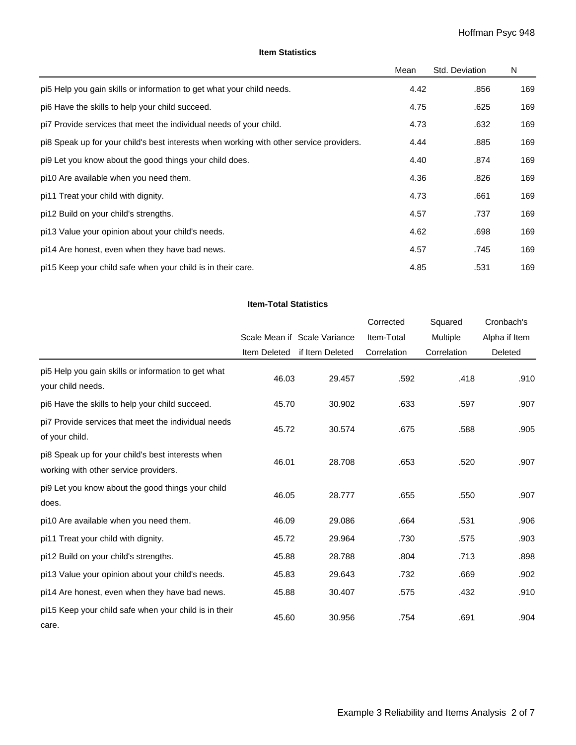#### **Item Statistics**

|                                                                                         | Mean | Std. Deviation | N   |
|-----------------------------------------------------------------------------------------|------|----------------|-----|
| pi5 Help you gain skills or information to get what your child needs.                   | 4.42 | .856           | 169 |
| pi6 Have the skills to help your child succeed.                                         | 4.75 | .625           | 169 |
| pi7 Provide services that meet the individual needs of your child.                      | 4.73 | .632           | 169 |
| pi8 Speak up for your child's best interests when working with other service providers. | 4.44 | .885           | 169 |
| pi9 Let you know about the good things your child does.                                 | 4.40 | .874           | 169 |
| pi10 Are available when you need them.                                                  | 4.36 | .826           | 169 |
| pi11 Treat your child with dignity.                                                     | 4.73 | .661           | 169 |
| pi12 Build on your child's strengths.                                                   | 4.57 | .737           | 169 |
| pi13 Value your opinion about your child's needs.                                       | 4.62 | .698           | 169 |
| pi14 Are honest, even when they have bad news.                                          | 4.57 | .745           | 169 |
| pi15 Keep your child safe when your child is in their care.                             | 4.85 | .531           | 169 |

#### **Item-Total Statistics**

|                                                                                            |              |                              | Corrected   | Squared     | Cronbach's    |
|--------------------------------------------------------------------------------------------|--------------|------------------------------|-------------|-------------|---------------|
|                                                                                            |              | Scale Mean if Scale Variance | Item-Total  | Multiple    | Alpha if Item |
|                                                                                            | Item Deleted | if Item Deleted              | Correlation | Correlation | Deleted       |
| pi5 Help you gain skills or information to get what<br>your child needs.                   | 46.03        | 29.457                       | .592        | .418        | .910          |
| pi6 Have the skills to help your child succeed.                                            | 45.70        | 30.902                       | .633        | .597        | .907          |
| pi7 Provide services that meet the individual needs<br>of your child.                      | 45.72        | 30.574                       | .675        | .588        | .905          |
| pi8 Speak up for your child's best interests when<br>working with other service providers. | 46.01        | 28.708                       | .653        | .520        | .907          |
| pi9 Let you know about the good things your child<br>does.                                 | 46.05        | 28.777                       | .655        | .550        | .907          |
| pi10 Are available when you need them.                                                     | 46.09        | 29.086                       | .664        | .531        | .906          |
| pi11 Treat your child with dignity.                                                        | 45.72        | 29.964                       | .730        | .575        | .903          |
| pi12 Build on your child's strengths.                                                      | 45.88        | 28.788                       | .804        | .713        | .898          |
| pi13 Value your opinion about your child's needs.                                          | 45.83        | 29.643                       | .732        | .669        | .902          |
| pi14 Are honest, even when they have bad news.                                             | 45.88        | 30.407                       | .575        | .432        | .910          |
| pi15 Keep your child safe when your child is in their<br>care.                             | 45.60        | 30.956                       | .754        | .691        | .904          |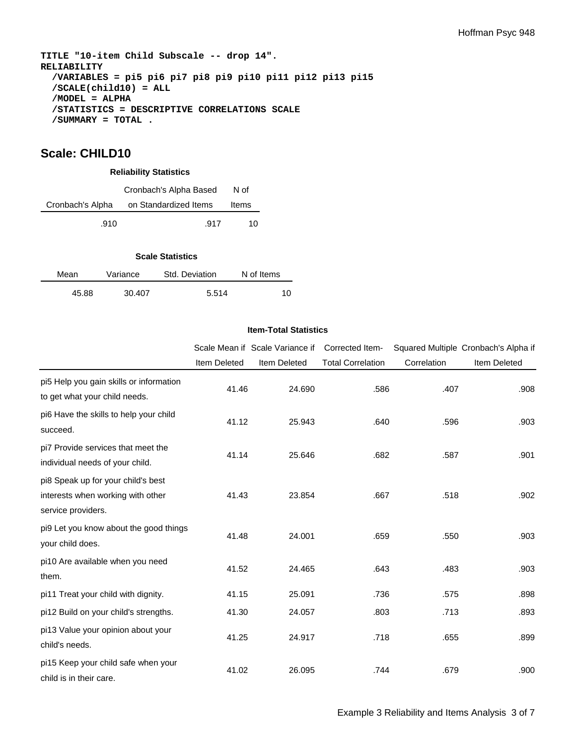**TITLE "10-item Child Subscale -- drop 14". RELIABILITY /VARIABLES = pi5 pi6 pi7 pi8 pi9 pi10 pi11 pi12 pi13 pi15 /SCALE(child10) = ALL /MODEL = ALPHA /STATISTICS = DESCRIPTIVE CORRELATIONS SCALE /SUMMARY = TOTAL .** 

## **Scale: CHILD10**

#### **Reliability Statistics**

|                  | Cronbach's Alpha Based | N of  |
|------------------|------------------------|-------|
| Cronbach's Alpha | on Standardized Items  | Items |
| .910             | .917                   | 10    |

#### **Scale Statistics**

| Mean | Variance |        | Std. Deviation | N of Items |  |
|------|----------|--------|----------------|------------|--|
|      | 45.88    | 30.407 | 5.514          | 10         |  |

#### **Item-Total Statistics**

|                                                                                               |                     | Scale Mean if Scale Variance if | Corrected Item-          |             | Squared Multiple Cronbach's Alpha if |
|-----------------------------------------------------------------------------------------------|---------------------|---------------------------------|--------------------------|-------------|--------------------------------------|
|                                                                                               | <b>Item Deleted</b> | Item Deleted                    | <b>Total Correlation</b> | Correlation | <b>Item Deleted</b>                  |
| pi5 Help you gain skills or information<br>to get what your child needs.                      | 41.46               | 24.690                          | .586                     | .407        | .908                                 |
| pi6 Have the skills to help your child<br>succeed.                                            | 41.12               | 25.943                          | .640                     | .596        | .903                                 |
| pi7 Provide services that meet the<br>individual needs of your child.                         | 41.14               | 25.646                          | .682                     | .587        | .901                                 |
| pi8 Speak up for your child's best<br>interests when working with other<br>service providers. | 41.43               | 23.854                          | .667                     | .518        | .902                                 |
| pi9 Let you know about the good things<br>your child does.                                    | 41.48               | 24.001                          | .659                     | .550        | .903                                 |
| pi10 Are available when you need<br>them.                                                     | 41.52               | 24.465                          | .643                     | .483        | .903                                 |
| pi11 Treat your child with dignity.                                                           | 41.15               | 25.091                          | .736                     | .575        | .898                                 |
| pi12 Build on your child's strengths.                                                         | 41.30               | 24.057                          | .803                     | .713        | .893                                 |
| pi13 Value your opinion about your<br>child's needs.                                          | 41.25               | 24.917                          | .718                     | .655        | .899                                 |
| pi15 Keep your child safe when your<br>child is in their care.                                | 41.02               | 26.095                          | .744                     | .679        | .900                                 |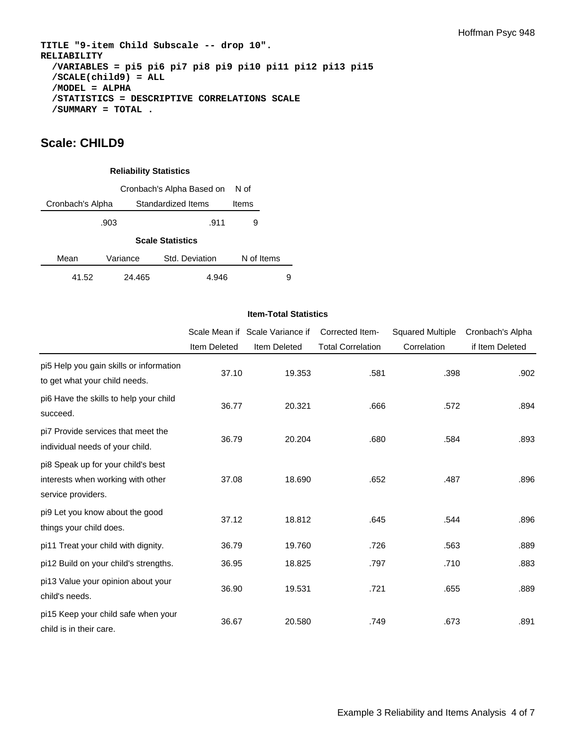**TITLE "9-item Child Subscale -- drop 10". RELIABILITY /VARIABLES = pi5 pi6 pi7 pi8 pi9 pi10 pi11 pi12 pi13 pi15 /SCALE(child9) = ALL /MODEL = ALPHA /STATISTICS = DESCRIPTIVE CORRELATIONS SCALE /SUMMARY = TOTAL .** 

## **Scale: CHILD9**

#### **Reliability Statistics**

|       | N of                                   |                         |            |   |  |  |
|-------|----------------------------------------|-------------------------|------------|---|--|--|
|       | Standardized Items<br>Cronbach's Alpha |                         |            |   |  |  |
|       | .903                                   | .911                    | 9          |   |  |  |
|       |                                        | <b>Scale Statistics</b> |            |   |  |  |
| Mean  | Variance                               | Std. Deviation          | N of Items |   |  |  |
| 41.52 | 24.465                                 | 4.946                   |            | 9 |  |  |

#### **Item-Total Statistics**

|                                                                                               |                     | Scale Mean if Scale Variance if | Corrected Item-          | <b>Squared Multiple</b> | Cronbach's Alpha |
|-----------------------------------------------------------------------------------------------|---------------------|---------------------------------|--------------------------|-------------------------|------------------|
|                                                                                               | <b>Item Deleted</b> | Item Deleted                    | <b>Total Correlation</b> | Correlation             | if Item Deleted  |
| pi5 Help you gain skills or information<br>to get what your child needs.                      | 37.10               | 19.353                          | .581                     | .398                    | .902             |
| pi6 Have the skills to help your child<br>succeed.                                            | 36.77               | 20.321                          | .666                     | .572                    | .894             |
| pi7 Provide services that meet the<br>individual needs of your child.                         | 36.79               | 20.204                          | .680                     | .584                    | .893             |
| pi8 Speak up for your child's best<br>interests when working with other<br>service providers. | 37.08               | 18.690                          | .652                     | .487                    | .896             |
| pi9 Let you know about the good<br>things your child does.                                    | 37.12               | 18.812                          | .645                     | .544                    | .896             |
| pi11 Treat your child with dignity.                                                           | 36.79               | 19.760                          | .726                     | .563                    | .889             |
| pi12 Build on your child's strengths.                                                         | 36.95               | 18.825                          | .797                     | .710                    | .883             |
| pi13 Value your opinion about your<br>child's needs.                                          | 36.90               | 19.531                          | .721                     | .655                    | .889             |
| pi15 Keep your child safe when your<br>child is in their care.                                | 36.67               | 20.580                          | .749                     | .673                    | .891             |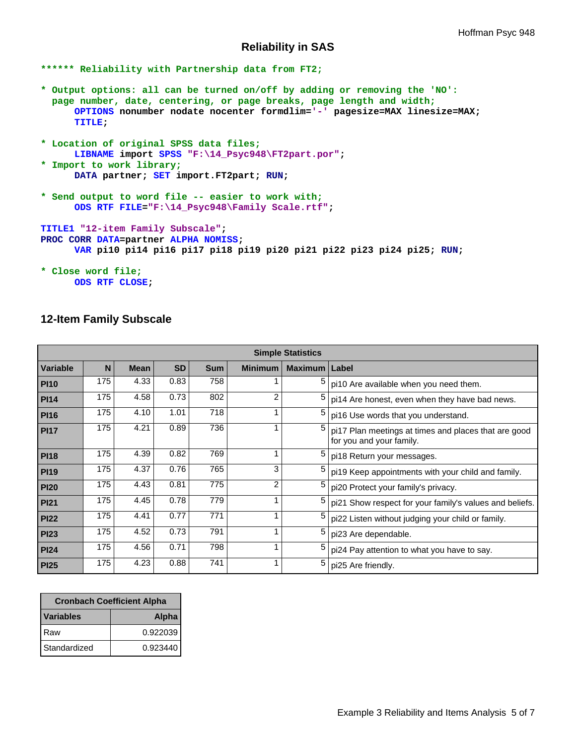## **Reliability in SAS**

```
****** Reliability with Partnership data from FT2;
```
- **\* Output options: all can be turned on/off by adding or removing the 'NO': page number, date, centering, or page breaks, page length and width; OPTIONS nonumber nodate nocenter formdlim='-' pagesize=MAX linesize=MAX; TITLE;**
- **\* Location of original SPSS data files; LIBNAME import SPSS "F:\14\_Psyc948\FT2part.por"; \* Import to work library; DATA partner; SET import.FT2part; RUN;**
- **\* Send output to word file -- easier to work with; ODS RTF FILE="F:\14\_Psyc948\Family Scale.rtf";**

**TITLE1 "12-item Family Subscale"; PROC CORR DATA=partner ALPHA NOMISS; VAR pi10 pi14 pi16 pi17 pi18 pi19 pi20 pi21 pi22 pi23 pi24 pi25; RUN;** 

```
* Close word file;
      ODS RTF CLOSE;
```
## **12-Item Family Subscale**

| <b>Simple Statistics</b> |     |             |           |            |                |         |                                                                                  |
|--------------------------|-----|-------------|-----------|------------|----------------|---------|----------------------------------------------------------------------------------|
| Variable                 | N   | <b>Mean</b> | <b>SD</b> | <b>Sum</b> | <b>Minimum</b> | Maximum | Label                                                                            |
| <b>PI10</b>              | 175 | 4.33        | 0.83      | 758        |                | 5       | pi10 Are available when you need them.                                           |
| <b>PI14</b>              | 175 | 4.58        | 0.73      | 802        | $\overline{2}$ | 5       | pi14 Are honest, even when they have bad news.                                   |
| <b>PI16</b>              | 175 | 4.10        | 1.01      | 718        |                | 5       | pi16 Use words that you understand.                                              |
| <b>PI17</b>              | 175 | 4.21        | 0.89      | 736        |                | 5       | pi17 Plan meetings at times and places that are good<br>for you and your family. |
| <b>PI18</b>              | 175 | 4.39        | 0.82      | 769        |                | 5       | pi18 Return your messages.                                                       |
| <b>PI19</b>              | 175 | 4.37        | 0.76      | 765        | 3              | 5       | pi19 Keep appointments with your child and family.                               |
| <b>PI20</b>              | 175 | 4.43        | 0.81      | 775        | 2              | 5       | pi20 Protect your family's privacy.                                              |
| <b>PI21</b>              | 175 | 4.45        | 0.78      | 779        |                | 5       | pi21 Show respect for your family's values and beliefs.                          |
| <b>PI22</b>              | 175 | 4.41        | 0.77      | 771        |                | 5       | pi22 Listen without judging your child or family.                                |
| <b>PI23</b>              | 175 | 4.52        | 0.73      | 791        |                | 5       | pi23 Are dependable.                                                             |
| <b>PI24</b>              | 175 | 4.56        | 0.71      | 798        |                | 5       | pi24 Pay attention to what you have to say.                                      |
| <b>PI25</b>              | 175 | 4.23        | 0.88      | 741        |                | 5       | pi25 Are friendly.                                                               |

| <b>Cronbach Coefficient Alpha</b> |              |  |  |
|-----------------------------------|--------------|--|--|
| <b>Variables</b>                  | <b>Alpha</b> |  |  |
| Raw                               | 0.922039     |  |  |
| Standardized                      | 0.923440     |  |  |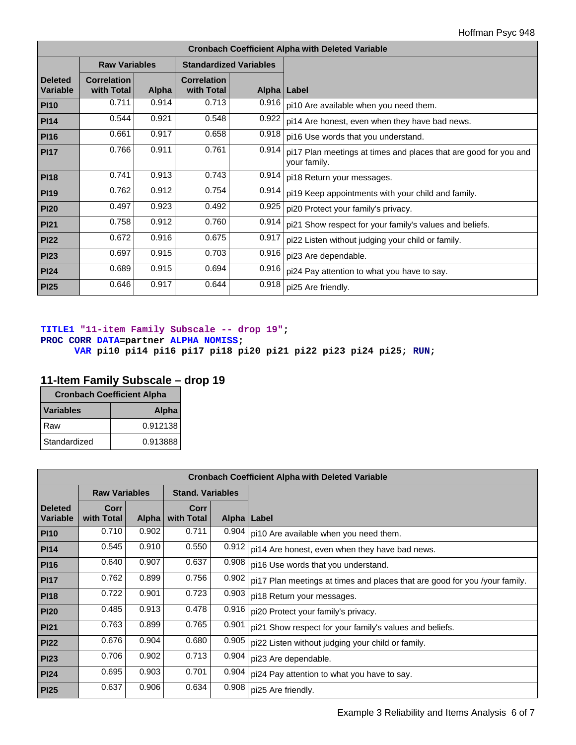| <b>Cronbach Coefficient Alpha with Deleted Variable</b> |                                  |       |                                  |             |                                                                                  |  |  |  |
|---------------------------------------------------------|----------------------------------|-------|----------------------------------|-------------|----------------------------------------------------------------------------------|--|--|--|
|                                                         | <b>Raw Variables</b>             |       | <b>Standardized Variables</b>    |             |                                                                                  |  |  |  |
| <b>Deleted</b><br><b>Variable</b>                       | <b>Correlation</b><br>with Total | Alpha | <b>Correlation</b><br>with Total | Alpha Label |                                                                                  |  |  |  |
| <b>PI10</b>                                             | 0.711                            | 0.914 | 0.713                            | 0.916       | pi10 Are available when you need them.                                           |  |  |  |
| <b>PI14</b>                                             | 0.544                            | 0.921 | 0.548                            | 0.922       | pi14 Are honest, even when they have bad news.                                   |  |  |  |
| <b>PI16</b>                                             | 0.661                            | 0.917 | 0.658                            | 0.918       | pi16 Use words that you understand.                                              |  |  |  |
| <b>PI17</b>                                             | 0.766                            | 0.911 | 0.761                            | 0.914       | pi17 Plan meetings at times and places that are good for you and<br>your family. |  |  |  |
| <b>PI18</b>                                             | 0.741                            | 0.913 | 0.743                            | 0.914       | pi18 Return your messages.                                                       |  |  |  |
| <b>PI19</b>                                             | 0.762                            | 0.912 | 0.754                            | 0.914       | pi19 Keep appointments with your child and family.                               |  |  |  |
| <b>PI20</b>                                             | 0.497                            | 0.923 | 0.492                            | 0.925       | pi20 Protect your family's privacy.                                              |  |  |  |
| <b>PI21</b>                                             | 0.758                            | 0.912 | 0.760                            | 0.914       | pi21 Show respect for your family's values and beliefs.                          |  |  |  |
| <b>PI22</b>                                             | 0.672                            | 0.916 | 0.675                            | 0.917       | pi22 Listen without judging your child or family.                                |  |  |  |
| <b>PI23</b>                                             | 0.697                            | 0.915 | 0.703                            | 0.916       | pi23 Are dependable.                                                             |  |  |  |
| <b>PI24</b>                                             | 0.689                            | 0.915 | 0.694                            | 0.916       | pi24 Pay attention to what you have to say.                                      |  |  |  |
| <b>PI25</b>                                             | 0.646                            | 0.917 | 0.644                            | 0.918       | pi25 Are friendly.                                                               |  |  |  |

## **TITLE1 "11-item Family Subscale -- drop 19"; PROC CORR DATA=partner ALPHA NOMISS;**

**VAR pi10 pi14 pi16 pi17 pi18 pi20 pi21 pi22 pi23 pi24 pi25; RUN;** 

# **11-Item Family Subscale – drop 19**

| <b>Cronbach Coefficient Alpha</b> |              |  |  |  |
|-----------------------------------|--------------|--|--|--|
| <b>Variables</b>                  | <b>Alpha</b> |  |  |  |
| Raw                               | 0.912138     |  |  |  |
| Standardized                      | 0.913888     |  |  |  |

| <b>Cronbach Coefficient Alpha with Deleted Variable</b> |                                                 |              |                    |               |                                                                            |  |
|---------------------------------------------------------|-------------------------------------------------|--------------|--------------------|---------------|----------------------------------------------------------------------------|--|
|                                                         | <b>Raw Variables</b><br><b>Stand, Variables</b> |              |                    |               |                                                                            |  |
| <b>Deleted</b><br>Variable                              | Corr<br>with Total                              | <b>Alpha</b> | Corr<br>with Total | Alpha   Label |                                                                            |  |
| <b>PI10</b>                                             | 0.710                                           | 0.902        | 0.711              | 0.904         | pi10 Are available when you need them.                                     |  |
| <b>PI14</b>                                             | 0.545                                           | 0.910        | 0.550              | 0.912         | pi14 Are honest, even when they have bad news.                             |  |
| <b>PI16</b>                                             | 0.640                                           | 0.907        | 0.637              | 0.908         | pi16 Use words that you understand.                                        |  |
| <b>PI17</b>                                             | 0.762                                           | 0.899        | 0.756              | 0.902         | pi17 Plan meetings at times and places that are good for you /your family. |  |
| <b>PI18</b>                                             | 0.722                                           | 0.901        | 0.723              | 0.903         | pi18 Return your messages.                                                 |  |
| <b>PI20</b>                                             | 0.485                                           | 0.913        | 0.478              | 0.916         | pi20 Protect your family's privacy.                                        |  |
| <b>PI21</b>                                             | 0.763                                           | 0.899        | 0.765              | 0.901         | pi21 Show respect for your family's values and beliefs.                    |  |
| <b>PI22</b>                                             | 0.676                                           | 0.904        | 0.680              | 0.905         | pi22 Listen without judging your child or family.                          |  |
| <b>PI23</b>                                             | 0.706                                           | 0.902        | 0.713              | 0.904         | pi23 Are dependable.                                                       |  |
| <b>PI24</b>                                             | 0.695                                           | 0.903        | 0.701              | 0.904         | pi24 Pay attention to what you have to say.                                |  |
| PI25                                                    | 0.637                                           | 0.906        | 0.634              | 0.908         | pi25 Are friendly.                                                         |  |